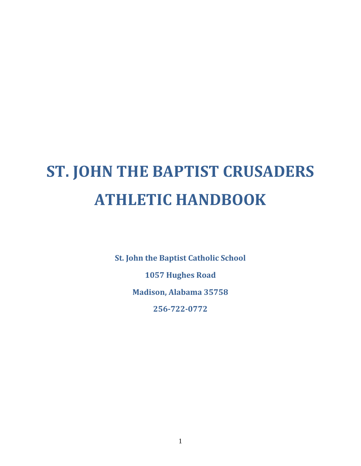# **ST. JOHN THE BAPTIST CRUSADERS ATHLETIC HANDBOOK**

**St. John the Baptist Catholic School**

**1057 Hughes Road**

**Madison, Alabama 35758**

**256-722-0772**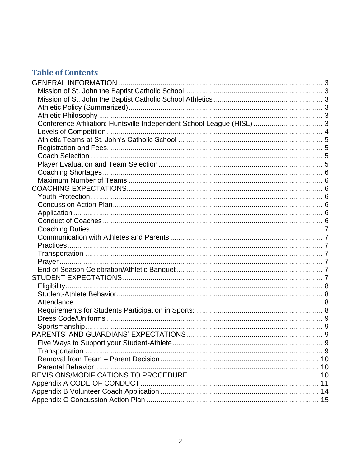### **Table of Contents**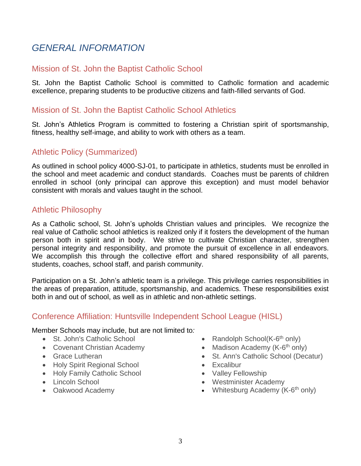### <span id="page-2-0"></span>*GENERAL INFORMATION*

### <span id="page-2-1"></span>Mission of St. John the Baptist Catholic School

St. John the Baptist Catholic School is committed to Catholic formation and academic excellence, preparing students to be productive citizens and faith-filled servants of God.

#### <span id="page-2-2"></span>Mission of St. John the Baptist Catholic School Athletics

St. John's Athletics Program is committed to fostering a Christian spirit of sportsmanship, fitness, healthy self-image, and ability to work with others as a team.

### <span id="page-2-3"></span>Athletic Policy (Summarized)

As outlined in school policy 4000-SJ-01, to participate in athletics, students must be enrolled in the school and meet academic and conduct standards. Coaches must be parents of children enrolled in school (only principal can approve this exception) and must model behavior consistent with morals and values taught in the school.

#### <span id="page-2-4"></span>Athletic Philosophy

As a Catholic school, St. John's upholds Christian values and principles. We recognize the real value of Catholic school athletics is realized only if it fosters the development of the human person both in spirit and in body. We strive to cultivate Christian character, strengthen personal integrity and responsibility, and promote the pursuit of excellence in all endeavors. We accomplish this through the collective effort and shared responsibility of all parents, students, coaches, school staff, and parish community.

Participation on a St. John's athletic team is a privilege. This privilege carries responsibilities in the areas of preparation, attitude, sportsmanship, and academics. These responsibilities exist both in and out of school, as well as in athletic and non-athletic settings.

### <span id="page-2-5"></span>Conference Affiliation: Huntsville Independent School League (HISL)

Member Schools may include, but are not limited to*:*

- St. John's Catholic School
- Covenant Christian Academy
- Grace Lutheran
- Holy Spirit Regional School
- Holy Family Catholic School
- Lincoln School
- Oakwood Academy
- Randolph School(K-6<sup>th</sup> only)
- Madison Academy (K-6<sup>th</sup> only)
- St. Ann's Catholic School (Decatur)
- Excalibur
- Valley Fellowship
- Westminister Academy
- Whitesburg Academy (K-6<sup>th</sup> only)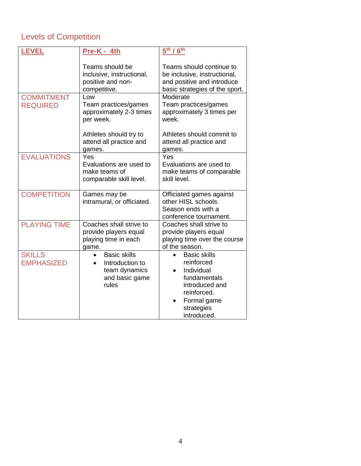### <span id="page-3-0"></span>Levels of Competition

| <b>LEVEL</b>                         | Pre-K - 4th                                                                                                                                              | 5 <sup>th</sup> / 6 <sup>th</sup>                                                                                                                                                                  |
|--------------------------------------|----------------------------------------------------------------------------------------------------------------------------------------------------------|----------------------------------------------------------------------------------------------------------------------------------------------------------------------------------------------------|
| <b>COMMITMENT</b><br><b>REQUIRED</b> | Teams should be<br>inclusive, instructional,<br>positive and non-<br>competitive.<br>Low<br>Team practices/games<br>approximately 2-3 times<br>per week. | Teams should continue to<br>be inclusive, instructional,<br>and positive and introduce<br>basic strategies of the sport.<br>Moderate<br>Team practices/games<br>approximately 3 times per<br>week. |
|                                      | Athletes should try to<br>attend all practice and<br>games.                                                                                              | Athletes should commit to<br>attend all practice and<br>games.                                                                                                                                     |
| <b>EVALUATIONS</b>                   | Yes<br>Evaluations are used to<br>make teams of<br>comparable skill level.                                                                               | Yes<br>Evaluations are used to<br>make teams of comparable<br>skill level.                                                                                                                         |
| <b>COMPETITION</b>                   | Games may be<br>intramural, or officiated.                                                                                                               | Officiated games against<br>other HISL schools.<br>Season ends with a<br>conference tournament.                                                                                                    |
| <b>PLAYING TIME</b>                  | Coaches shall strive to<br>provide players equal<br>playing time in each<br>game.                                                                        | Coaches shall strive to<br>provide players equal<br>playing time over the course<br>of the season.                                                                                                 |
| <b>SKILLS</b><br><b>EMPHASIZED</b>   | <b>Basic skills</b><br>Introduction to<br>$\bullet$<br>team dynamics<br>and basic game<br>rules                                                          | <b>Basic skills</b><br>reinforced<br>Individual<br>fundamentals<br>introduced and<br>reinforced.<br>Formal game<br>strategies<br>introduced.                                                       |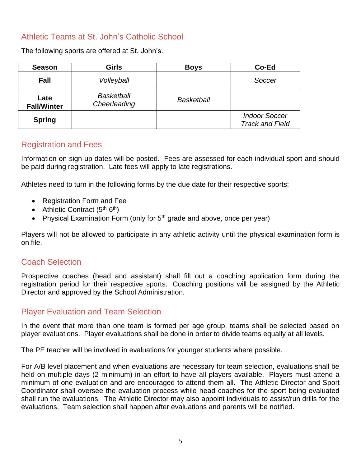### <span id="page-4-0"></span>Athletic Teams at St. John's Catholic School

The following sports are offered at St. John's.

| <b>Season</b>              | <b>Girls</b>                      | <b>Boys</b>       | Co-Ed                                          |
|----------------------------|-----------------------------------|-------------------|------------------------------------------------|
| <b>Fall</b>                | Volleyball                        |                   | Soccer                                         |
| Late<br><b>Fall/Winter</b> | <b>Basketball</b><br>Cheerleading | <b>Basketball</b> |                                                |
| <b>Spring</b>              |                                   |                   | <b>Indoor Soccer</b><br><b>Track and Field</b> |

### <span id="page-4-1"></span>Registration and Fees

Information on sign-up dates will be posted. Fees are assessed for each individual sport and should be paid during registration. Late fees will apply to late registrations.

Athletes need to turn in the following forms by the due date for their respective sports:

- Registration Form and Fee
- Athletic Contract  $(5<sup>th</sup>-6<sup>th</sup>)$
- Physical Examination Form (only for  $5<sup>th</sup>$  grade and above, once per year)

Players will not be allowed to participate in any athletic activity until the physical examination form is on file.

### <span id="page-4-2"></span>Coach Selection

Prospective coaches (head and assistant) shall fill out a coaching application form during the registration period for their respective sports. Coaching positions will be assigned by the Athletic Director and approved by the School Administration.

### <span id="page-4-3"></span>Player Evaluation and Team Selection

In the event that more than one team is formed per age group, teams shall be selected based on player evaluations. Player evaluations shall be done in order to divide teams equally at all levels.

The PE teacher will be involved in evaluations for younger students where possible.

For A/B level placement and when evaluations are necessary for team selection, evaluations shall be held on multiple days (2 minimum) in an effort to have all players available. Players must attend a minimum of one evaluation and are encouraged to attend them all. The Athletic Director and Sport Coordinator shall oversee the evaluation process while head coaches for the sport being evaluated shall run the evaluations. The Athletic Director may also appoint individuals to assist/run drills for the evaluations. Team selection shall happen after evaluations and parents will be notified.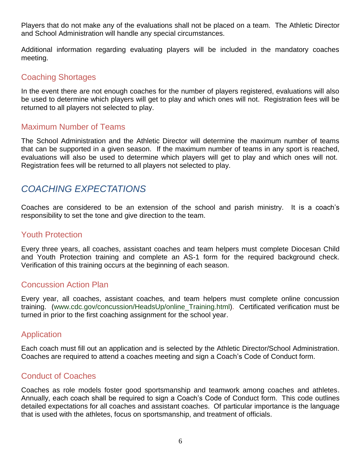Players that do not make any of the evaluations shall not be placed on a team. The Athletic Director and School Administration will handle any special circumstances.

Additional information regarding evaluating players will be included in the mandatory coaches meeting.

### <span id="page-5-0"></span>Coaching Shortages

In the event there are not enough coaches for the number of players registered, evaluations will also be used to determine which players will get to play and which ones will not. Registration fees will be returned to all players not selected to play.

### <span id="page-5-1"></span>Maximum Number of Teams

The School Administration and the Athletic Director will determine the maximum number of teams that can be supported in a given season. If the maximum number of teams in any sport is reached, evaluations will also be used to determine which players will get to play and which ones will not. Registration fees will be returned to all players not selected to play.

### <span id="page-5-2"></span>*COACHING EXPECTATIONS*

Coaches are considered to be an extension of the school and parish ministry. It is a coach's responsibility to set the tone and give direction to the team.

#### <span id="page-5-3"></span>Youth Protection

Every three years, all coaches, assistant coaches and team helpers must complete Diocesan Child and Youth Protection training and complete an AS-1 form for the required background check. Verification of this training occurs at the beginning of each season.

### <span id="page-5-4"></span>Concussion Action Plan

Every year, all coaches, assistant coaches, and team helpers must complete online concussion training. [\(www.cdc.gov/concussion/HeadsUp/online\\_Training.html\)](http://www.cdc.gov/concussion/HeadsUp/online_Training.html). Certificated verification must be turned in prior to the first coaching assignment for the school year.

### <span id="page-5-5"></span>Application

Each coach must fill out an application and is selected by the Athletic Director/School Administration. Coaches are required to attend a coaches meeting and sign a Coach's Code of Conduct form.

### <span id="page-5-6"></span>Conduct of Coaches

Coaches as role models foster good sportsmanship and teamwork among coaches and athletes. Annually, each coach shall be required to sign a Coach's Code of Conduct form. This code outlines detailed expectations for all coaches and assistant coaches. Of particular importance is the language that is used with the athletes, focus on sportsmanship, and treatment of officials.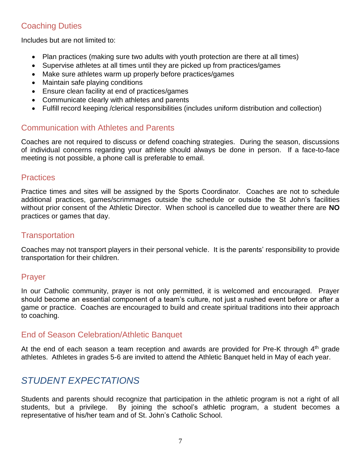### <span id="page-6-0"></span>Coaching Duties

Includes but are not limited to:

- Plan practices (making sure two adults with youth protection are there at all times)
- Supervise athletes at all times until they are picked up from practices/games
- Make sure athletes warm up properly before practices/games
- Maintain safe playing conditions
- Ensure clean facility at end of practices/games
- Communicate clearly with athletes and parents
- Fulfill record keeping /clerical responsibilities (includes uniform distribution and collection)

### <span id="page-6-1"></span>Communication with Athletes and Parents

Coaches are not required to discuss or defend coaching strategies. During the season, discussions of individual concerns regarding your athlete should always be done in person. If a face-to-face meeting is not possible, a phone call is preferable to email.

#### <span id="page-6-2"></span>**Practices**

Practice times and sites will be assigned by the Sports Coordinator. Coaches are not to schedule additional practices, games/scrimmages outside the schedule or outside the St John's facilities without prior consent of the Athletic Director. When school is cancelled due to weather there are **NO** practices or games that day.

### <span id="page-6-3"></span>**Transportation**

Coaches may not transport players in their personal vehicle. It is the parents' responsibility to provide transportation for their children.

### <span id="page-6-4"></span>Prayer

In our Catholic community, prayer is not only permitted, it is welcomed and encouraged. Prayer should become an essential component of a team's culture, not just a rushed event before or after a game or practice. Coaches are encouraged to build and create spiritual traditions into their approach to coaching.

### <span id="page-6-5"></span>End of Season Celebration/Athletic Banquet

At the end of each season a team reception and awards are provided for Pre-K through  $4<sup>th</sup>$  grade athletes. Athletes in grades 5-6 are invited to attend the Athletic Banquet held in May of each year.

### <span id="page-6-6"></span>*STUDENT EXPECTATIONS*

Students and parents should recognize that participation in the athletic program is not a right of all students, but a privilege. By joining the school's athletic program, a student becomes a representative of his/her team and of St. John's Catholic School.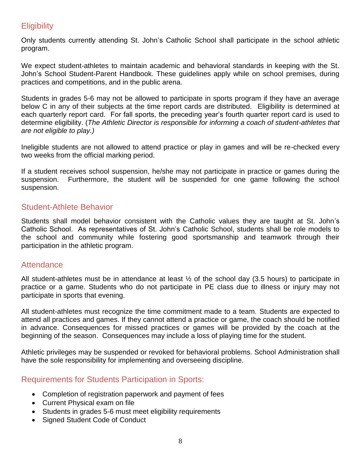### <span id="page-7-0"></span>**Eligibility**

Only students currently attending St. John's Catholic School shall participate in the school athletic program.

We expect student-athletes to maintain academic and behavioral standards in keeping with the St. John's School Student-Parent Handbook. These guidelines apply while on school premises, during practices and competitions, and in the public arena.

Students in grades 5-6 may not be allowed to participate in sports program if they have an average below C in any of their subjects at the time report cards are distributed. Eligibility is determined at each quarterly report card. For fall sports, the preceding year's fourth quarter report card is used to determine eligibility. (*The Athletic Director is responsible for informing a coach of student-athletes that are not eligible to play.)*

Ineligible students are not allowed to attend practice or play in games and will be re-checked every two weeks from the official marking period.

If a student receives school suspension, he/she may not participate in practice or games during the suspension. Furthermore, the student will be suspended for one game following the school suspension.

### <span id="page-7-1"></span>Student-Athlete Behavior

Students shall model behavior consistent with the Catholic values they are taught at St. John's Catholic School. As representatives of St. John's Catholic School, students shall be role models to the school and community while fostering good sportsmanship and teamwork through their participation in the athletic program.

### <span id="page-7-2"></span>**Attendance**

All student-athletes must be in attendance at least  $\frac{1}{2}$  of the school day (3.5 hours) to participate in practice or a game. Students who do not participate in PE class due to illness or injury may not participate in sports that evening.

All student-athletes must recognize the time commitment made to a team. Students are expected to attend all practices and games. If they cannot attend a practice or game, the coach should be notified in advance. Consequences for missed practices or games will be provided by the coach at the beginning of the season. Consequences may include a loss of playing time for the student.

Athletic privileges may be suspended or revoked for behavioral problems. School Administration shall have the sole responsibility for implementing and overseeing discipline.

### <span id="page-7-3"></span>Requirements for Students Participation in Sports:

- Completion of registration paperwork and payment of fees
- Current Physical exam on file
- Students in grades 5-6 must meet eligibility requirements
- Signed Student Code of Conduct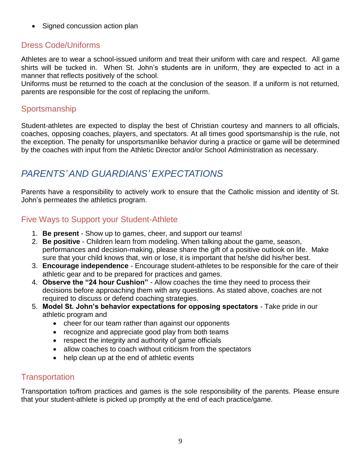• Signed concussion action plan

### <span id="page-8-0"></span>Dress Code/Uniforms

Athletes are to wear a school-issued uniform and treat their uniform with care and respect. All game shirts will be tucked in. When St. John's students are in uniform, they are expected to act in a manner that reflects positively of the school.

Uniforms must be returned to the coach at the conclusion of the season. If a uniform is not returned, parents are responsible for the cost of replacing the uniform.

### <span id="page-8-1"></span>Sportsmanship

Student-athletes are expected to display the best of Christian courtesy and manners to all officials, coaches, opposing coaches, players, and spectators. At all times good sportsmanship is the rule, not the exception. The penalty for unsportsmanlike behavior during a practice or game will be determined by the coaches with input from the Athletic Director and/or School Administration as necessary.

### <span id="page-8-2"></span>*PARENTS' AND GUARDIANS' EXPECTATIONS*

Parents have a responsibility to actively work to ensure that the Catholic mission and identity of St. John's permeates the athletics program.

### <span id="page-8-3"></span>Five Ways to Support your Student-Athlete

- 1. **Be present** Show up to games, cheer, and support our teams!
- 2. **Be positive** Children learn from modeling. When talking about the game, season, performances and decision-making, please share the gift of a positive outlook on life. Make sure that your child knows that, win or lose, it is important that he/she did his/her best.
- 3. **Encourage independence** Encourage student-athletes to be responsible for the care of their athletic gear and to be prepared for practices and games.
- 4. **Observe the "24 hour Cushion"** Allow coaches the time they need to process their decisions before approaching them with any questions. As stated above, coaches are not required to discuss or defend coaching strategies.
- 5. **Model St. John's behavior expectations for opposing spectators**  Take pride in our athletic program and
	- cheer for our team rather than against our opponents
	- recognize and appreciate good play from both teams
	- respect the integrity and authority of game officials
	- allow coaches to coach without criticism from the spectators
	- help clean up at the end of athletic events

### <span id="page-8-4"></span>**Transportation**

Transportation to/from practices and games is the sole responsibility of the parents. Please ensure that your student-athlete is picked up promptly at the end of each practice/game.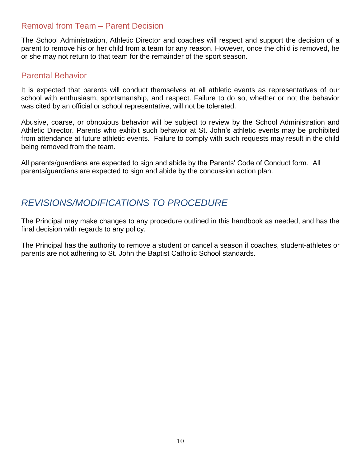### <span id="page-9-0"></span>Removal from Team – Parent Decision

The School Administration, Athletic Director and coaches will respect and support the decision of a parent to remove his or her child from a team for any reason. However, once the child is removed, he or she may not return to that team for the remainder of the sport season.

### <span id="page-9-1"></span>Parental Behavior

It is expected that parents will conduct themselves at all athletic events as representatives of our school with enthusiasm, sportsmanship, and respect. Failure to do so, whether or not the behavior was cited by an official or school representative, will not be tolerated.

Abusive, coarse, or obnoxious behavior will be subject to review by the School Administration and Athletic Director. Parents who exhibit such behavior at St. John's athletic events may be prohibited from attendance at future athletic events. Failure to comply with such requests may result in the child being removed from the team.

All parents/guardians are expected to sign and abide by the Parents' Code of Conduct form. All parents/guardians are expected to sign and abide by the concussion action plan.

### <span id="page-9-2"></span>*REVISIONS/MODIFICATIONS TO PROCEDURE*

The Principal may make changes to any procedure outlined in this handbook as needed, and has the final decision with regards to any policy.

The Principal has the authority to remove a student or cancel a season if coaches, student-athletes or parents are not adhering to St. John the Baptist Catholic School standards.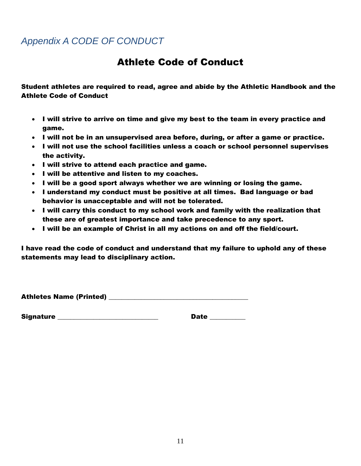### <span id="page-10-0"></span>*Appendix A CODE OF CONDUCT*

### Athlete Code of Conduct

Student athletes are required to read, agree and abide by the Athletic Handbook and the Athlete Code of Conduct

- I will strive to arrive on time and give my best to the team in every practice and game.
- I will not be in an unsupervised area before, during, or after a game or practice.
- I will not use the school facilities unless a coach or school personnel supervises the activity.
- I will strive to attend each practice and game.
- I will be attentive and listen to my coaches.
- I will be a good sport always whether we are winning or losing the game.
- I understand my conduct must be positive at all times. Bad language or bad behavior is unacceptable and will not be tolerated.
- I will carry this conduct to my school work and family with the realization that these are of greatest importance and take precedence to any sport.
- I will be an example of Christ in all my actions on and off the field/court.

I have read the code of conduct and understand that my failure to uphold any of these statements may lead to disciplinary action.

Athletes Name (Printed) \_\_\_\_\_\_\_\_\_\_\_\_\_\_\_\_\_\_\_\_\_\_\_\_\_\_\_\_\_\_\_\_\_\_\_\_\_\_\_\_\_\_\_

Signature \_\_\_\_\_\_\_\_\_\_\_\_\_\_\_\_\_\_\_\_\_\_\_\_\_\_\_\_\_\_\_ Date \_\_\_\_\_\_\_\_\_\_\_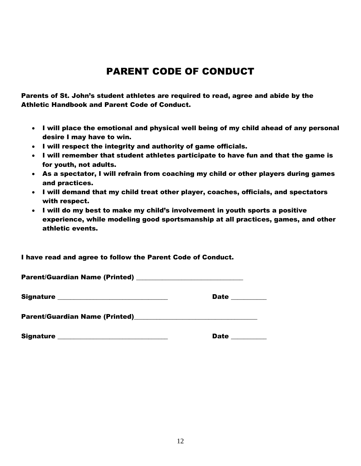### PARENT CODE OF CONDUCT

Parents of St. John's student athletes are required to read, agree and abide by the Athletic Handbook and Parent Code of Conduct.

- I will place the emotional and physical well being of my child ahead of any personal desire I may have to win.
- I will respect the integrity and authority of game officials.
- I will remember that student athletes participate to have fun and that the game is for youth, not adults.
- As a spectator, I will refrain from coaching my child or other players during games and practices.
- I will demand that my child treat other player, coaches, officials, and spectators with respect.
- I will do my best to make my child's involvement in youth sports a positive experience, while modeling good sportsmanship at all practices, games, and other athletic events.

I have read and agree to follow the Parent Code of Conduct.

| Signature ________________________________                                                                                                | Date ________ |
|-------------------------------------------------------------------------------------------------------------------------------------------|---------------|
|                                                                                                                                           |               |
| <b>Signature</b><br><u> 1989 - Johann Harry Harry Harry Harry Harry Harry Harry Harry Harry Harry Harry Harry Harry Harry Harry Harry</u> | <b>Date</b>   |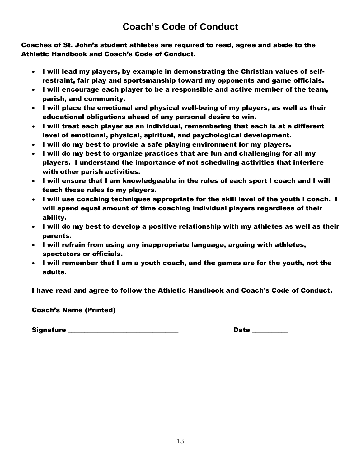### **Coach's Code of Conduct**

Coaches of St. John's student athletes are required to read, agree and abide to the Athletic Handbook and Coach's Code of Conduct.

- I will lead my players, by example in demonstrating the Christian values of selfrestraint, fair play and sportsmanship toward my opponents and game officials.
- I will encourage each player to be a responsible and active member of the team, parish, and community.
- I will place the emotional and physical well-being of my players, as well as their educational obligations ahead of any personal desire to win.
- I will treat each player as an individual, remembering that each is at a different level of emotional, physical, spiritual, and psychological development.
- I will do my best to provide a safe playing environment for my players.
- I will do my best to organize practices that are fun and challenging for all my players. I understand the importance of not scheduling activities that interfere with other parish activities.
- I will ensure that I am knowledgeable in the rules of each sport I coach and I will teach these rules to my players.
- I will use coaching techniques appropriate for the skill level of the youth I coach. I will spend equal amount of time coaching individual players regardless of their ability.
- I will do my best to develop a positive relationship with my athletes as well as their parents.
- I will refrain from using any inappropriate language, arguing with athletes, spectators or officials.
- I will remember that I am a youth coach, and the games are for the youth, not the adults.

I have read and agree to follow the Athletic Handbook and Coach's Code of Conduct.

Coach's Name (Printed) \_\_\_\_\_\_\_\_\_\_\_\_\_\_\_\_\_\_\_\_\_\_\_\_\_\_\_\_\_\_\_\_\_

Signature \_\_\_\_\_\_\_\_\_\_\_\_\_\_\_\_\_\_\_\_\_\_\_\_\_\_\_\_\_\_\_\_\_\_ Date \_\_\_\_\_\_\_\_\_\_\_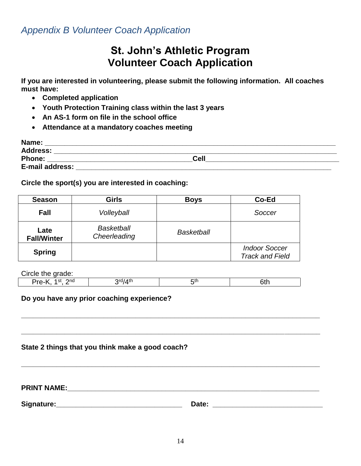<span id="page-13-0"></span>*Appendix B Volunteer Coach Application*

### **St. John's Athletic Program Volunteer Coach Application**

**If you are interested in volunteering, please submit the following information. All coaches must have:** 

- **Completed application**
- **Youth Protection Training class within the last 3 years**
- **An AS-1 form on file in the school office**
- **Attendance at a mandatory coaches meeting**

| Name:           |      |  |
|-----------------|------|--|
| <b>Address:</b> |      |  |
| <b>Phone:</b>   | Cell |  |
| E-mail address: |      |  |

**Circle the sport(s) you are interested in coaching:**

| <b>Season</b>              | <b>Girls</b>                      | <b>Boys</b>       | Co-Ed                                          |
|----------------------------|-----------------------------------|-------------------|------------------------------------------------|
| <b>Fall</b>                | Volleyball                        |                   | Soccer                                         |
| Late<br><b>Fall/Winter</b> | <b>Basketball</b><br>Cheerleading | <b>Basketball</b> |                                                |
| <b>Spring</b>              |                                   |                   | <b>Indoor Soccer</b><br><b>Track and Field</b> |

Circle the grade:

| . .<br>___<br>__                |   |      |  |
|---------------------------------|---|------|--|
| ona<br>$\sim$<br>$1 - 1$<br>ູວເ | ∼ | ו וו |  |
|                                 |   |      |  |

#### **Do you have any prior coaching experience?**

#### **State 2 things that you think make a good coach?**

**PRINT NAME:\_\_\_\_\_\_\_\_\_\_\_\_\_\_\_\_\_\_\_\_\_\_\_\_\_\_\_\_\_\_\_\_\_\_\_\_\_\_\_\_\_\_\_\_\_\_\_\_\_\_\_\_\_\_\_\_\_\_\_\_\_\_\_\_**

**Signature:\_\_\_\_\_\_\_\_\_\_\_\_\_\_\_\_\_\_\_\_\_\_\_\_\_\_\_\_\_\_\_\_ Date: \_\_\_\_\_\_\_\_\_\_\_\_\_\_\_\_\_\_\_\_\_\_\_\_\_\_\_\_**

**\_\_\_\_\_\_\_\_\_\_\_\_\_\_\_\_\_\_\_\_\_\_\_\_\_\_\_\_\_\_\_\_\_\_\_\_\_\_\_\_\_\_\_\_\_\_\_\_\_\_\_\_\_\_\_\_\_\_\_\_\_\_\_\_\_\_\_\_\_\_\_\_\_\_\_\_** 

**\_\_\_\_\_\_\_\_\_\_\_\_\_\_\_\_\_\_\_\_\_\_\_\_\_\_\_\_\_\_\_\_\_\_\_\_\_\_\_\_\_\_\_\_\_\_\_\_\_\_\_\_\_\_\_\_\_\_\_\_\_\_\_\_\_\_\_\_\_\_\_\_\_\_\_\_** 

**\_\_\_\_\_\_\_\_\_\_\_\_\_\_\_\_\_\_\_\_\_\_\_\_\_\_\_\_\_\_\_\_\_\_\_\_\_\_\_\_\_\_\_\_\_\_\_\_\_\_\_\_\_\_\_\_\_\_\_\_\_\_\_\_\_\_\_\_\_\_\_\_\_\_\_\_**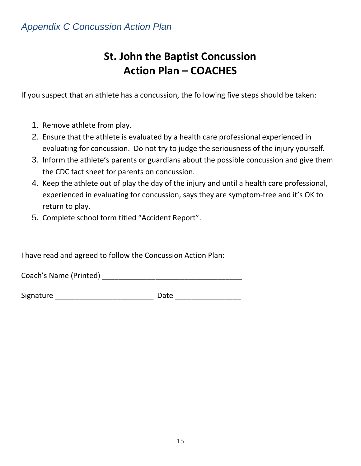# **St. John the Baptist Concussion Action Plan – COACHES**

<span id="page-14-0"></span>If you suspect that an athlete has a concussion, the following five steps should be taken:

- 1. Remove athlete from play.
- 2. Ensure that the athlete is evaluated by a health care professional experienced in evaluating for concussion. Do not try to judge the seriousness of the injury yourself.
- 3. Inform the athlete's parents or guardians about the possible concussion and give them the CDC fact sheet for parents on concussion.
- 4. Keep the athlete out of play the day of the injury and until a health care professional, experienced in evaluating for concussion, says they are symptom-free and it's OK to return to play.
- 5. Complete school form titled "Accident Report".

I have read and agreed to follow the Concussion Action Plan:

Coach's Name (Printed) \_\_\_\_\_\_\_\_\_\_\_\_\_\_\_\_\_\_\_\_\_\_\_\_\_\_\_\_\_\_\_\_\_\_

Signature \_\_\_\_\_\_\_\_\_\_\_\_\_\_\_\_\_\_\_\_\_\_\_\_ Date \_\_\_\_\_\_\_\_\_\_\_\_\_\_\_\_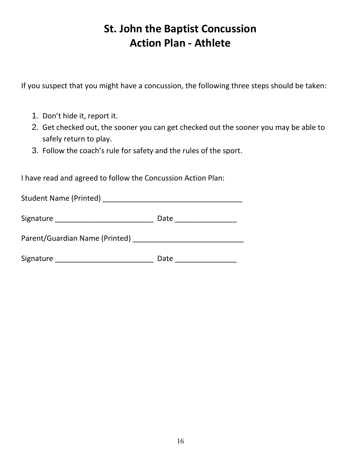# **St. John the Baptist Concussion Action Plan - Athlete**

If you suspect that you might have a concussion, the following three steps should be taken:

- 1. Don't hide it, report it.
- 2. Get checked out, the sooner you can get checked out the sooner you may be able to safely return to play.
- 3. Follow the coach's rule for safety and the rules of the sport.

I have read and agreed to follow the Concussion Action Plan:

| <b>Student Name (Printed)</b>  |      |
|--------------------------------|------|
| Signature                      | Date |
| Parent/Guardian Name (Printed) |      |
| Signature                      | Date |